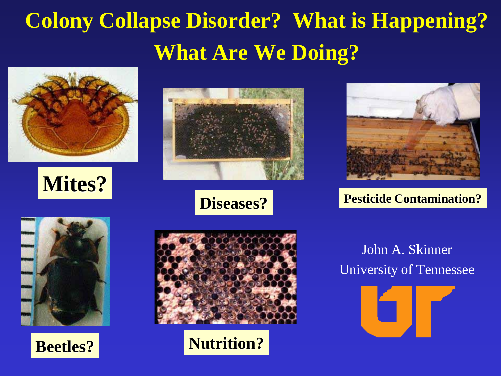# **Colony Collapse Disorder? What is Happening? What Are We Doing?**











**Pesticide Contamination?**







**Nutrition?**

### John A. Skinner University of Tennessee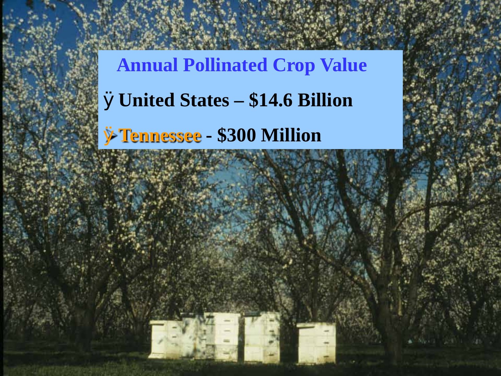**Annual Pollinated Crop Value** Ø**United States – \$14.6 Billion**

Ø**Tennessee - \$300 Million**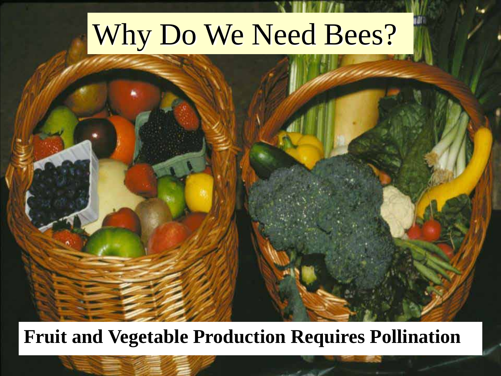# Why Do We Need Bees?

### **Fruit and Vegetable Production Requires Pollination**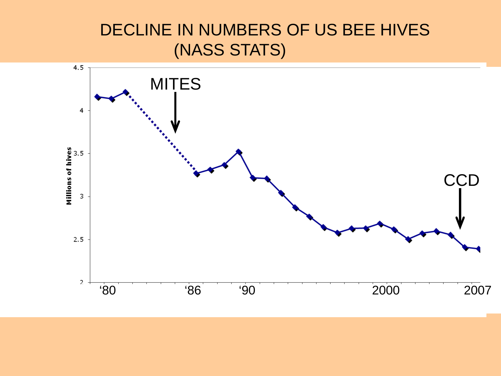### DECLINE IN NUMBERS OF US BEE HIVES (NASS STATS)

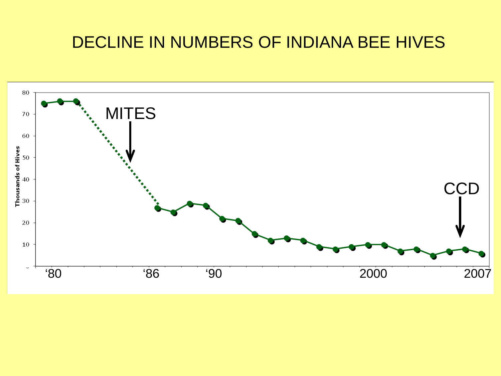#### DECLINE IN NUMBERS OF INDIANA BEE HIVES

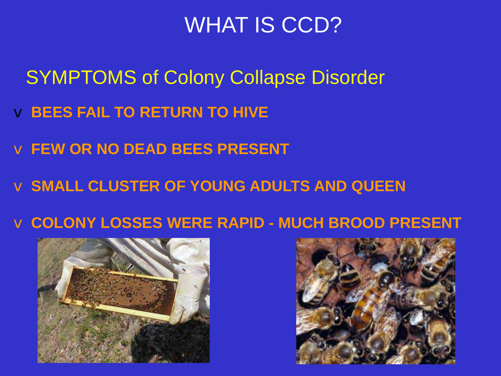### WHAT IS CCD?

- SYMPTOMS of Colony Collapse Disorder
- v **BEES FAIL TO RETURN TO HIVE**
- v **FEW OR NO DEAD BEES PRESENT**
- v **SMALL CLUSTER OF YOUNG ADULTS AND QUEEN**
- v **COLONY LOSSES WERE RAPID - MUCH BROOD PRESENT**



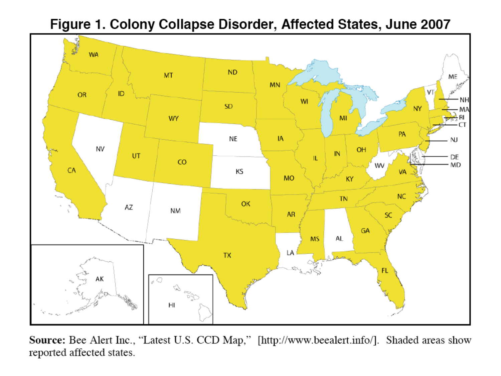

Figure 1. Colony Collapse Disorder, Affected States, June 2007

Source: Bee Alert Inc., "Latest U.S. CCD Map," [http://www.beealert.info/]. Shaded areas show reported affected states.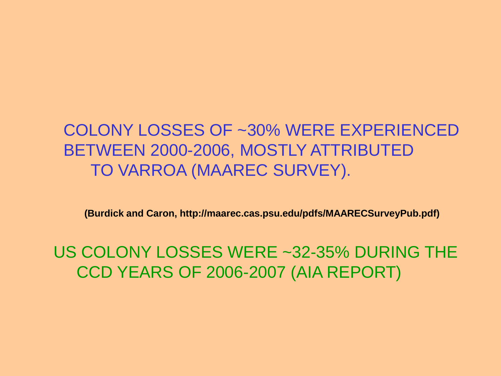### COLONY LOSSES OF ~30% WERE EXPERIENCED BETWEEN 2000-2006, MOSTLY ATTRIBUTED TO VARROA (MAAREC SURVEY).

**(Burdick and Caron, http://maarec.cas.psu.edu/pdfs/MAARECSurveyPub.pdf)**

US COLONY LOSSES WERE ~32-35% DURING THE CCD YEARS OF 2006-2007 (AIA REPORT)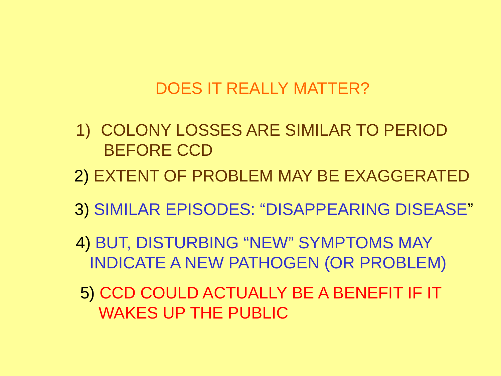#### DOES IT REALLY MATTER?

- 1) COLONY LOSSES ARE SIMILAR TO PERIOD BEFORE CCD
- 2) EXTENT OF PROBLEM MAY BE EXAGGERATED
- 3) SIMILAR EPISODES: "DISAPPEARING DISEASE"
- 4) BUT, DISTURBING "NEW" SYMPTOMS MAY INDICATE A NEW PATHOGEN (OR PROBLEM)
- 5) CCD COULD ACTUALLY BE A BENEFIT IF IT WAKES UP THE PUBLIC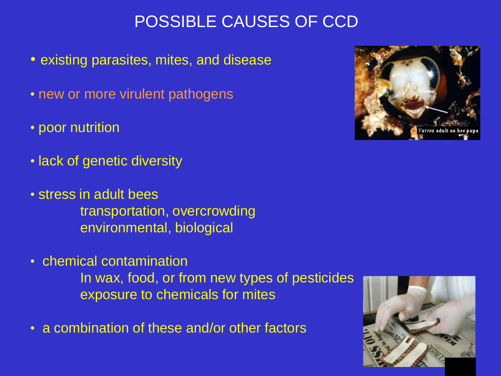### POSSIBLE CAUSES OF CCD

- existing parasites, mites, and disease
- new or more virulent pathogens
- poor nutrition
- lack of genetic diversity
- stress in adult bees transportation, overcrowding environmental, biological
- chemical contamination In wax, food, or from new types of pesticides exposure to chemicals for mites
- a combination of these and/or other factors



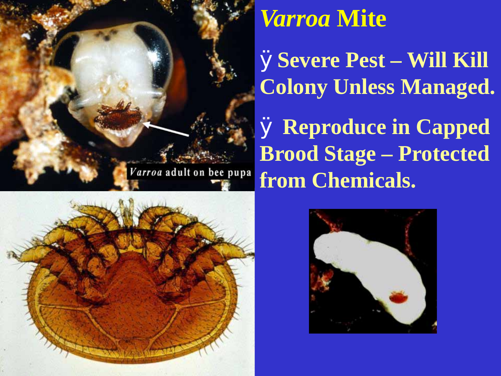

## **Varroa Mite**

ØSevere Pest - Will Kill **Colony Unless Managed.** 

**Ø Reproduce in Capped Brood Stage – Protected** from Chemicals.



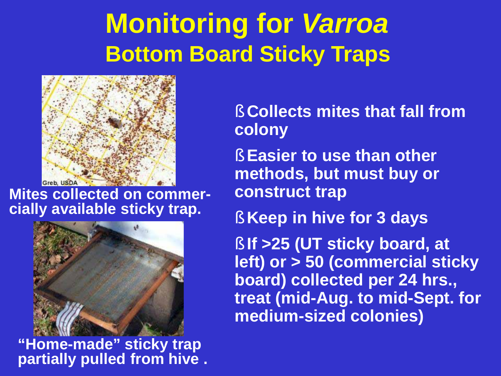# **Monitoring for** *Varroa* **Bottom Board Sticky Traps**



**Mites collected on commer- cially available sticky trap.**



**"Home-made" sticky trap partially pulled from hive .**

§ **Collects mites that fall from colony**

§ **Easier to use than other methods, but must buy or construct trap**

§ **Keep in hive for 3 days**

§ **If >25 (UT sticky board, at left) or > 50 (commercial sticky board) collected per 24 hrs., treat (mid-Aug. to mid-Sept. for medium-sized colonies)**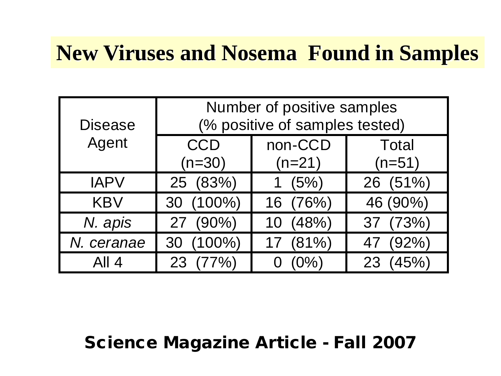### **New Viruses and Nosema Found in Samples**

| <b>Disease</b><br>Agent | Number of positive samples<br>(% positive of samples tested) |                     |                          |
|-------------------------|--------------------------------------------------------------|---------------------|--------------------------|
|                         | <b>CCD</b><br>$(n=30)$                                       | non-CCD<br>$(n=21)$ | <b>Total</b><br>$(n=51)$ |
| <b>IAPV</b>             | 25 (83%)                                                     | 1 $(5%)$            | 26 (51%)                 |
| <b>KBV</b>              | 30 (100%)                                                    | 16 (76%)            | 46 (90%)                 |
| N. apis                 | 27 (90%)                                                     | (48%)<br>10         | 37 (73%)                 |
| N. ceranae              | 30 (100%)                                                    | (81%)               | (92%)<br>47              |
| All 4                   | (77%)<br>23                                                  | $(0\%)$             | (45%)<br>23              |

#### Science Magazine Article - Fall 2007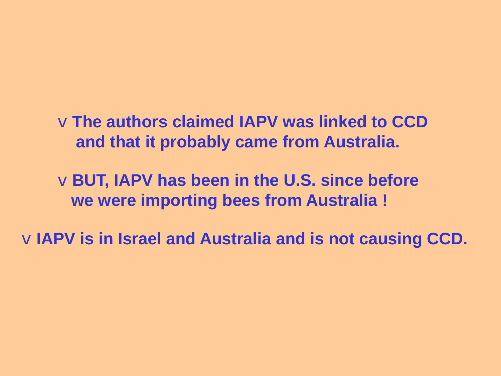v**The authors claimed IAPV was linked to CCD and that it probably came from Australia.**

v**BUT, IAPV has been in the U.S. since before we were importing bees from Australia !**

v**IAPV is in Israel and Australia and is not causing CCD.**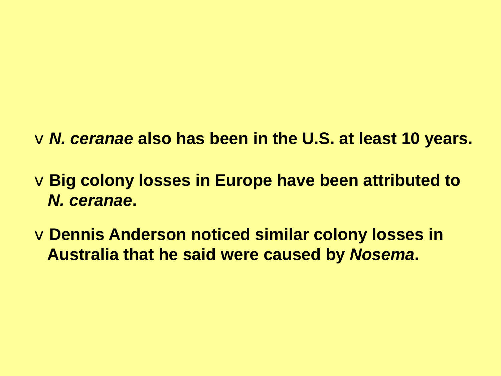v*N. ceranae* **also has been in the U.S. at least 10 years.**

v**Big colony losses in Europe have been attributed to**  *N. ceranae***.**

v**Dennis Anderson noticed similar colony losses in Australia that he said were caused by** *Nosema***.**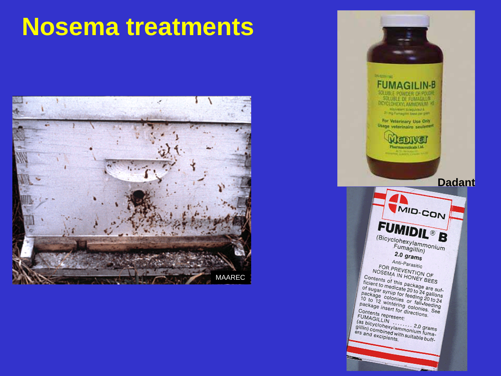### **Nosema treatments**



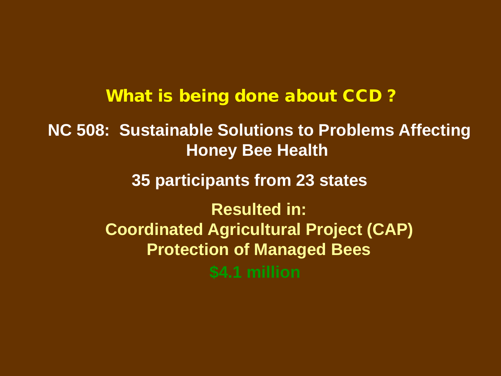What is being done about CCD ?

**NC 508: Sustainable Solutions to Problems Affecting Honey Bee Health**

**35 participants from 23 states**

**Resulted in: Coordinated Agricultural Project (CAP) Protection of Managed Bees \$4.1 million**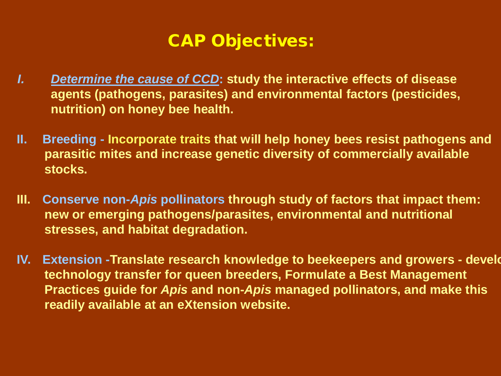#### CAP Objectives:

- *I. Determine the cause of CCD***: study the interactive effects of disease agents (pathogens, parasites) and environmental factors (pesticides, nutrition) on honey bee health.**
- **II. Breeding - Incorporate traits that will help honey bees resist pathogens and parasitic mites and increase genetic diversity of commercially available stocks.**
- **III. Conserve non-***Apis* **pollinators through study of factors that impact them: new or emerging pathogens/parasites, environmental and nutritional stresses, and habitat degradation.**
- **IV. Extension -Translate research knowledge to beekeepers and growers - develo technology transfer for queen breeders, Formulate a Best Management Practices guide for** *Apis* **and non-***Apis* **managed pollinators, and make this readily available at an eXtension website.**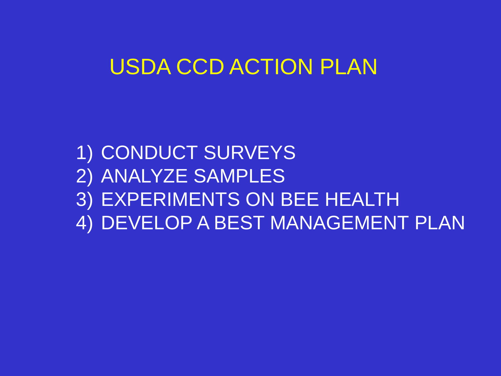### USDA CCD ACTION PLAN

1) CONDUCT SURVEYS 2) ANALYZE SAMPLES 3) EXPERIMENTS ON BEE HEALTH 4) DEVELOP A BEST MANAGEMENT PLAN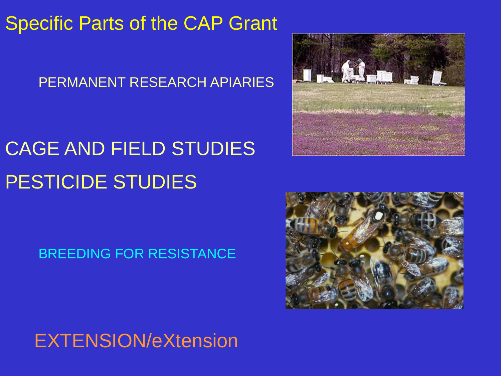### Specific Parts of the CAP Grant

#### PERMANENT RESEARCH APIARIES

## CAGE AND FIELD STUDIES PESTICIDE STUDIES

### BREEDING FOR RESISTANCE